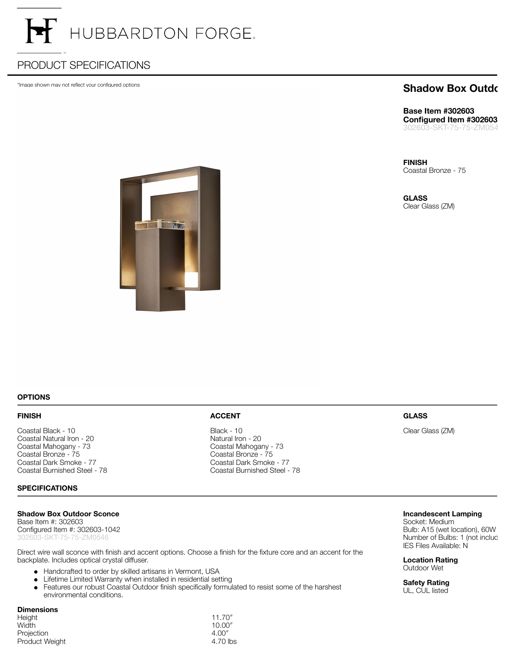# HUBBARDTON FORGE.

## PRODUCT SPECIFICATIONS

\*Image shown may not reflect your configured options

### **Shadow Box Outdo**

**Base Item #302603 Configured Item #302603** 302603-SKT-75-75-ZM0546

**FINISH** Coastal Bronze - 75

**GLASS** Clear Glass (ZM)



**OPTIONS**

#### **FINISH**

Coastal Black - 10 Coastal Natural Iron - 20 Coastal Mahogany - 73 Coastal Bronze - 75 Coastal Dark Smoke - 77 Coastal Burnished Steel - 78

#### **SPECIFICATIONS**

#### **Shadow Box Outdoor Sconce**

Base Item #: 302603 Configured Item #: 302603-1042 302603-SKT-75-75-ZM0546

Direct wire wall sconce with finish and accent options. Choose a finish for the fixture core and an accent for the backplate. Includes optical crystal diffuser.

- Handcrafted to order by skilled artisans in Vermont, USA
- Lifetime Limited Warranty when installed in residential setting  $\bullet$
- Features our robust Coastal Outdoor finish specifically formulated to resist some of the harshest  $\bullet$ environmental conditions.

4.70 lbs

#### **Dimensions**

| -------------- |         |
|----------------|---------|
| Height         | 11.70'' |
| Width          | 10.00'' |
| Projection     | 4.00''  |
| Product Weight | 4.70 lb |

#### **ACCENT**

Black - 10 Natural Iron - 20 Coastal Mahogany - 73 Coastal Bronze - 75 Coastal Dark Smoke - 77 Coastal Burnished Steel - 78

#### **GLASS**

Clear Glass (ZM)

#### **Incandescent Lamping**

Socket: Medium Bulb: A15 (wet location), 60W Number of Bulbs: 1 (not incluc IES Files Available: N

**Location Rating** Outdoor Wet

**Safety Rating** UL, CUL listed